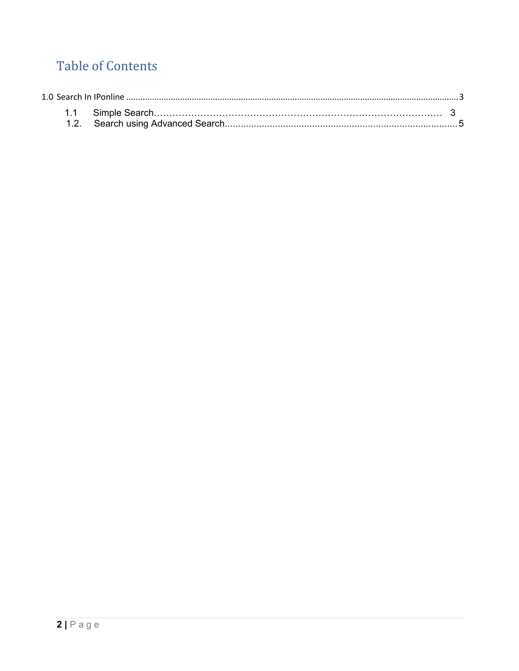## **Table of Contents**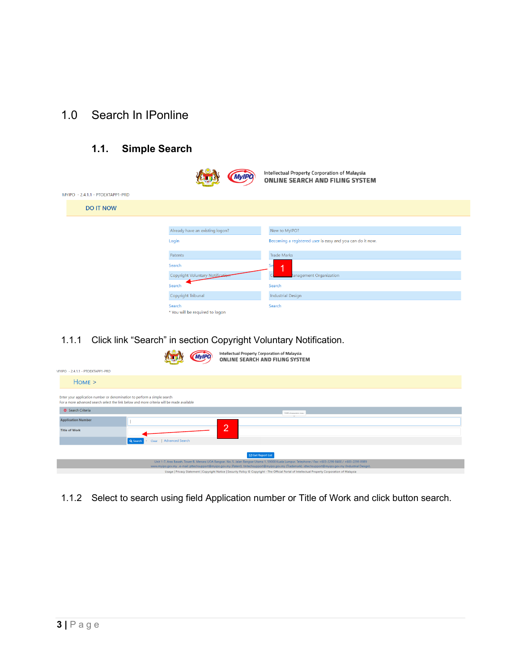## <span id="page-1-0"></span>1.0 Search In IPonline

## **1.1. Simple Search**



1.1.1 Click link "Search" in section Copyright Voluntary Notification.

|                                                                          |                                                                                           | Intellectual Property Corporation of Malaysia<br><b>ONLINE SEARCH AND FILING SYSTEM</b>                                                                                                                                                                                                                          |
|--------------------------------------------------------------------------|-------------------------------------------------------------------------------------------|------------------------------------------------------------------------------------------------------------------------------------------------------------------------------------------------------------------------------------------------------------------------------------------------------------------|
| MYIPO - 2.4.1.1 - PTOEXTAPP1-PRD                                         |                                                                                           |                                                                                                                                                                                                                                                                                                                  |
| $HOME$ >                                                                 |                                                                                           |                                                                                                                                                                                                                                                                                                                  |
| Enter your application number or denomination to perform a simple search | For a more advanced search select the link below and more criteria will be made available |                                                                                                                                                                                                                                                                                                                  |
| Search Criteria                                                          |                                                                                           | 1500 characters max.                                                                                                                                                                                                                                                                                             |
| <b>Application Number</b>                                                |                                                                                           | റ                                                                                                                                                                                                                                                                                                                |
| <b>Title of Work</b>                                                     |                                                                                           |                                                                                                                                                                                                                                                                                                                  |
|                                                                          | Clear   Advanced Search<br>Q Search                                                       |                                                                                                                                                                                                                                                                                                                  |
|                                                                          |                                                                                           | Get Report List                                                                                                                                                                                                                                                                                                  |
|                                                                          |                                                                                           | Unit 1-7, Aras Bawah, Tower B, Menara UOA Bangsar, No. 5, Jalan Bangsar Utama 1, 59000 Kuala Lumpur. Telephone / Fax: +603-2299 8400 / +603-2299 8989<br>www.myipo.gov.my . e-mail: pttechsupport@myipo.gov.my (Patent). tmtechsupport@myipo.gov.my (Trademark). idtechsupport@myipo.gov.my (Industrial Design). |
|                                                                          |                                                                                           | Usage   Privacy Statement   Copyright Notice   Security Policy © Copyright - The Official Portal of Intellectual Property Corporation of Malaysia                                                                                                                                                                |

1.1.2 Select to search using field Application number or Title of Work and click button search.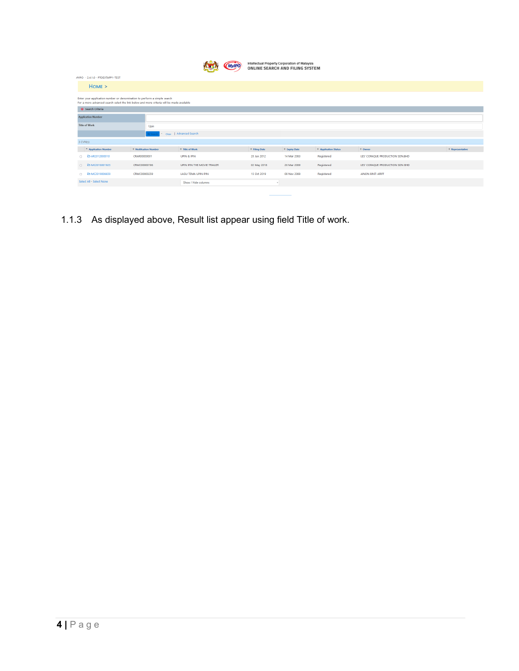|                                                                                                                                                                       |                       |                             | <b>«CMyIPO</b> | Intellectual Property Corporation of Malaysia<br>ONLINE SEARCH AND FILING SYSTEM |               |                      |                                 |                  |
|-----------------------------------------------------------------------------------------------------------------------------------------------------------------------|-----------------------|-----------------------------|----------------|----------------------------------------------------------------------------------|---------------|----------------------|---------------------------------|------------------|
| <b>JYIPO - 2.4.1.0 - PTOEXTAPP1-TEST</b>                                                                                                                              |                       |                             |                |                                                                                  |               |                      |                                 |                  |
| Home >                                                                                                                                                                |                       |                             |                |                                                                                  |               |                      |                                 |                  |
| Enter your application number or denomination to perform a simple search<br>For a more advanced search select the link below and more criteria will be made available |                       |                             |                |                                                                                  |               |                      |                                 |                  |
| Search Criteria                                                                                                                                                       |                       |                             |                |                                                                                  |               |                      |                                 |                  |
| <b>Application Number</b>                                                                                                                                             |                       |                             |                |                                                                                  |               |                      |                                 |                  |
| <b>Title of Work</b>                                                                                                                                                  | Upin                  |                             |                |                                                                                  |               |                      |                                 |                  |
|                                                                                                                                                                       | $Q$ Se                | Clear   Advanced Search     |                |                                                                                  |               |                      |                                 |                  |
| 3 CVN(s)                                                                                                                                                              |                       |                             |                |                                                                                  |               |                      |                                 |                  |
| <sup>-</sup> Application Number                                                                                                                                       | ≑ Notification Number | ≑ Title of Work             |                | ≑ Filing Date                                                                    | ≑ Expiry Date | # Application Status | $\div$ Owner                    | * Representative |
| □ 2> AR2012000010                                                                                                                                                     | CRAR00000001          | <b>UPIN &amp; IPIN</b>      |                | 20 Jun 2012                                                                      | 14 Mar 2063   | Registered           | LES' COPAQUE PRODUCTION SDN.BHD |                  |
| □ B-MC2018001925                                                                                                                                                      | CRMC00000196          | UPIN IPIN THE MOVIE TRAILER |                | 02 May 2018                                                                      | 26 Mar 2069   | Registered           | LES' COPAQUE PRODUCTION SDN BHD |                  |
| □ <b>E MC2019006659</b>                                                                                                                                               | CRMC00000259          | LAGU TEMA UPIN IPIN         |                | 15 Oct 2019                                                                      | 08 Nov 2069   | Registered           | AINON BINTI ARIFF               |                  |
| Select All - Select None                                                                                                                                              |                       | Show / Hide columns         |                |                                                                                  |               |                      |                                 |                  |

1.1.3 As displayed above, Result list appear using field Title of work.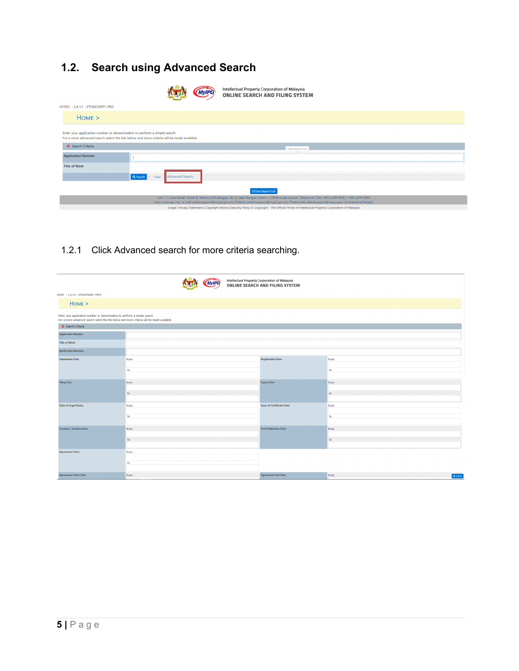## <span id="page-3-0"></span>**1.2. Search using Advanced Search**

|                                                                          |                                                                                                                                                                                                                                                                                                                  | Intellectual Property Corporation of Malaysia<br><b>ONLINE SEARCH AND FILING SYSTEM</b>                                                           |  |  |  |
|--------------------------------------------------------------------------|------------------------------------------------------------------------------------------------------------------------------------------------------------------------------------------------------------------------------------------------------------------------------------------------------------------|---------------------------------------------------------------------------------------------------------------------------------------------------|--|--|--|
| MYIPO - 2.4.1.1 - PTOEXTAPP1-PRD                                         |                                                                                                                                                                                                                                                                                                                  |                                                                                                                                                   |  |  |  |
| Home >                                                                   |                                                                                                                                                                                                                                                                                                                  |                                                                                                                                                   |  |  |  |
| Enter your application number or denomination to perform a simple search | For a more advanced search select the link below and more criteria will be made available                                                                                                                                                                                                                        |                                                                                                                                                   |  |  |  |
| Search Criteria                                                          |                                                                                                                                                                                                                                                                                                                  | 1500 characters max.                                                                                                                              |  |  |  |
| <b>Application Number</b>                                                |                                                                                                                                                                                                                                                                                                                  |                                                                                                                                                   |  |  |  |
| <b>Title of Work</b>                                                     |                                                                                                                                                                                                                                                                                                                  |                                                                                                                                                   |  |  |  |
|                                                                          | Advanced Search<br>Q Search<br>- Clear                                                                                                                                                                                                                                                                           |                                                                                                                                                   |  |  |  |
|                                                                          |                                                                                                                                                                                                                                                                                                                  | Get Report List                                                                                                                                   |  |  |  |
|                                                                          | Unit 1-7, Aras Bawah, Tower B. Menara UOA Bangsar, No. 5, Jalan Bangsar Utama 1, 59000 Kuala Lumpur. Telephone / Fax: +603-2299 8400 / +603-2299 8989<br>www.myipo.gov.my . e-mail: pttechsupport@myipo.gov.my (Patent). tmtechsupport@myipo.gov.my (Trademark). idtechsupport@myipo.gov.my (Industrial Design). |                                                                                                                                                   |  |  |  |
|                                                                          |                                                                                                                                                                                                                                                                                                                  | Usage   Privacy Statement   Copyright Notice   Security Policy © Copyright - The Official Portal of Intellectual Property Corporation of Malaysia |  |  |  |

1.2.1 Click Advanced search for more criteria searching.

|                                                                                                                                                                       |      |  | <b>MyIPO</b> | Intellectual Property Corporation of Malaysia<br><b>ONLINE SEARCH AND FILING SYSTEM</b> |                 |
|-----------------------------------------------------------------------------------------------------------------------------------------------------------------------|------|--|--------------|-----------------------------------------------------------------------------------------|-----------------|
| VIVIPO - 2.4.1.0 - PTOEXTAPP1-TEST                                                                                                                                    |      |  |              |                                                                                         |                 |
| HOME >                                                                                                                                                                |      |  |              |                                                                                         |                 |
| Enter your application number or denomination to perform a simple search<br>For a more advanced search select the link below and more criteria will be made available |      |  |              |                                                                                         |                 |
| Search Criteria                                                                                                                                                       |      |  |              |                                                                                         |                 |
| <b>Application Number</b>                                                                                                                                             |      |  |              |                                                                                         |                 |
| <b>Title of Work</b>                                                                                                                                                  |      |  |              |                                                                                         |                 |
| <b>Notification Number</b>                                                                                                                                            |      |  |              |                                                                                         |                 |
| <b>Submission Date</b>                                                                                                                                                | from |  |              | <b>Registration Date</b>                                                                | from            |
|                                                                                                                                                                       | to   |  |              |                                                                                         | to              |
|                                                                                                                                                                       |      |  |              |                                                                                         |                 |
| <b>Filing Date</b>                                                                                                                                                    | from |  |              | <b>Expiry Date</b>                                                                      | from            |
|                                                                                                                                                                       | to   |  |              |                                                                                         | to              |
|                                                                                                                                                                       |      |  |              |                                                                                         |                 |
| <b>Date of Legal Status</b>                                                                                                                                           | from |  |              | <b>Issue of Certificate Date</b>                                                        | from            |
|                                                                                                                                                                       | to   |  |              | to                                                                                      |                 |
| <b>Creation / Fixation Date</b>                                                                                                                                       | from |  |              | <b>First Publication Date</b>                                                           | from            |
|                                                                                                                                                                       |      |  |              |                                                                                         |                 |
|                                                                                                                                                                       | to   |  |              |                                                                                         | to              |
| <b>Agreement Date</b>                                                                                                                                                 | from |  |              |                                                                                         |                 |
|                                                                                                                                                                       |      |  |              |                                                                                         |                 |
|                                                                                                                                                                       | to   |  |              |                                                                                         |                 |
| <b>Agreement Start Date</b>                                                                                                                                           | from |  |              | <b>Agreement End Date</b>                                                               | from<br>x Close |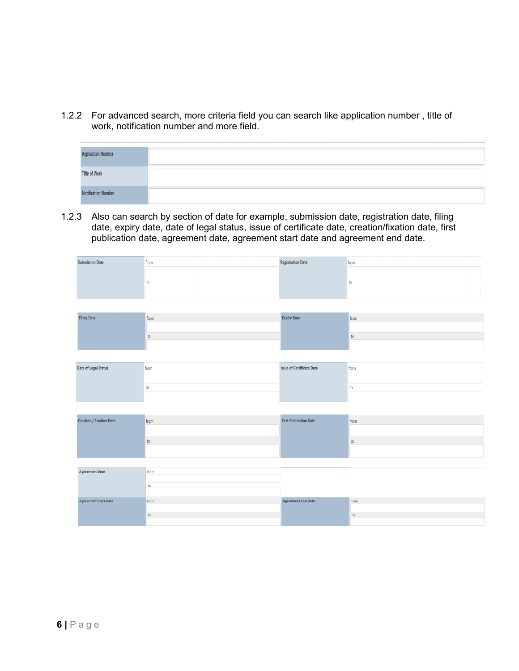1.2.2 For advanced search, more criteria field you can search like application number , title of work, notification number and more field.

| <b>Application Number</b>  |  |
|----------------------------|--|
| <b>Title of Work</b>       |  |
| <b>Notification Number</b> |  |

1.2.3 Also can search by section of date for example, submission date, registration date, filing date, expiry date, date of legal status, issue of certificate date, creation/fixation date, first publication date, agreement date, agreement start date and agreement end date.

| <b>Submission Date</b>          | from          | <b>Registration Date</b>         | from          |  |  |  |  |  |
|---------------------------------|---------------|----------------------------------|---------------|--|--|--|--|--|
|                                 |               |                                  |               |  |  |  |  |  |
|                                 | ${\sf to}$    |                                  | to            |  |  |  |  |  |
|                                 |               |                                  |               |  |  |  |  |  |
|                                 |               |                                  |               |  |  |  |  |  |
| <b>Filing Date</b>              | from          | <b>Expiry Date</b>               | from          |  |  |  |  |  |
|                                 |               |                                  |               |  |  |  |  |  |
|                                 | to            |                                  | to            |  |  |  |  |  |
|                                 |               |                                  |               |  |  |  |  |  |
|                                 |               |                                  |               |  |  |  |  |  |
| <b>Date of Legal Status</b>     | from          | <b>Issue of Certificate Date</b> | from          |  |  |  |  |  |
|                                 |               |                                  |               |  |  |  |  |  |
|                                 | to            |                                  | to            |  |  |  |  |  |
|                                 |               |                                  |               |  |  |  |  |  |
|                                 |               |                                  |               |  |  |  |  |  |
| <b>Creation / Fixation Date</b> | from          | <b>First Publication Date</b>    | from          |  |  |  |  |  |
|                                 |               |                                  |               |  |  |  |  |  |
|                                 | to            |                                  | to            |  |  |  |  |  |
|                                 |               |                                  |               |  |  |  |  |  |
|                                 |               |                                  |               |  |  |  |  |  |
| <b>Agreement Date</b>           | from          |                                  |               |  |  |  |  |  |
|                                 | to            |                                  |               |  |  |  |  |  |
|                                 |               |                                  |               |  |  |  |  |  |
| <b>Agreement Start Date</b>     | from          | <b>Agreement End Date</b>        | from          |  |  |  |  |  |
|                                 |               |                                  |               |  |  |  |  |  |
|                                 | $\mathsf{to}$ |                                  | $\mathsf{to}$ |  |  |  |  |  |
|                                 |               |                                  |               |  |  |  |  |  |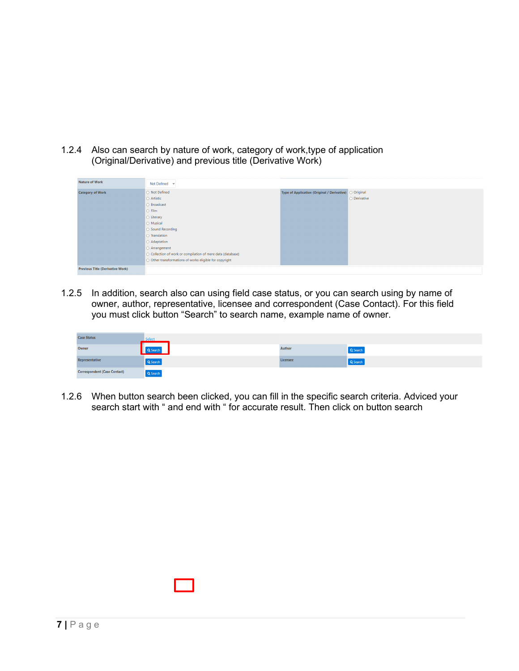1.2.4 Also can search by nature of work, category of work,type of application (Original/Derivative) and previous title (Derivative Work)

| <b>Nature of Work</b>                   | Not Defined ~                                                 |                                                        |              |
|-----------------------------------------|---------------------------------------------------------------|--------------------------------------------------------|--------------|
| <b>Category of Work</b>                 | ○ Not Defined                                                 | Type of Application (Original / Derivative) O Original |              |
|                                         | $\circ$ Artistic                                              |                                                        | O Derivative |
|                                         | ○ Broadcast                                                   |                                                        |              |
|                                         | $\circ$ Film                                                  |                                                        |              |
|                                         | $\circ$ Literary                                              |                                                        |              |
|                                         | O Musical                                                     |                                                        |              |
|                                         | ○ Sound Recording                                             |                                                        |              |
|                                         | $\circ$ Translation                                           |                                                        |              |
|                                         | O Adaptation                                                  |                                                        |              |
|                                         | $\circ$ Arrangement                                           |                                                        |              |
|                                         | O Collection of work or compilation of mere data (database)   |                                                        |              |
|                                         | $\circ$ Other transformations of works eligible for copyright |                                                        |              |
| <b>Previous Title (Derivative Work)</b> |                                                               |                                                        |              |

1.2.5 In addition, search also can using field case status, or you can search using by name of owner, author, representative, licensee and correspondent (Case Contact). For this field you must click button "Search" to search name, example name of owner.

| <b>Case Status</b>                  | Select   |          |          |
|-------------------------------------|----------|----------|----------|
| Owner                               | Q Search | Author   | Q Search |
| Representative                      | Q Search | Licensee | Q Search |
| <b>Correspondent (Case Contact)</b> | Q Search |          |          |

1.2.6 When button search been clicked, you can fill in the specific search criteria. Adviced your search start with " and end with " for accurate result. Then click on button search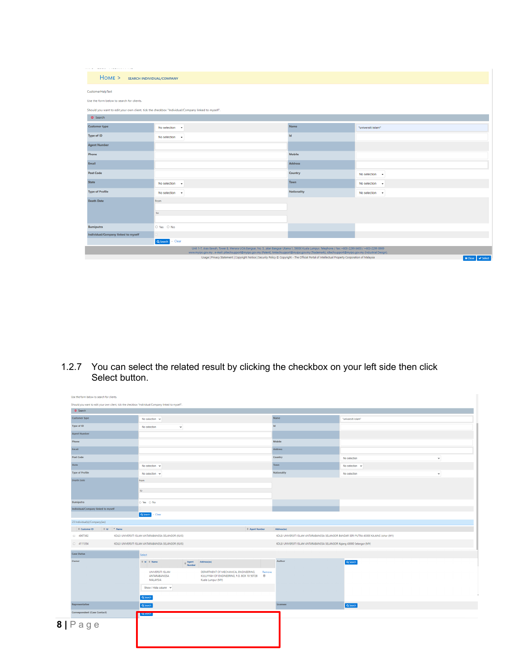| <b><i><u><u>ALLAS A</u></u></i></b><br><b>Service</b> Committee Committee |                                                                                                                                                                                                                                                                                                                  |                |                                                             |  |  |  |
|---------------------------------------------------------------------------|------------------------------------------------------------------------------------------------------------------------------------------------------------------------------------------------------------------------------------------------------------------------------------------------------------------|----------------|-------------------------------------------------------------|--|--|--|
| HOME > SEARCH INDIVIDUAL/COMPANY                                          |                                                                                                                                                                                                                                                                                                                  |                |                                                             |  |  |  |
| CustomerHelpText                                                          |                                                                                                                                                                                                                                                                                                                  |                |                                                             |  |  |  |
| Use the form below to search for clients.                                 |                                                                                                                                                                                                                                                                                                                  |                |                                                             |  |  |  |
|                                                                           | Should you want to edit your own client, tick the checkbox "Individual/Company linked to myself".                                                                                                                                                                                                                |                |                                                             |  |  |  |
| G Search                                                                  |                                                                                                                                                                                                                                                                                                                  |                |                                                             |  |  |  |
| <b>Customer type</b>                                                      | No selection $\rightarrow$                                                                                                                                                                                                                                                                                       | Name           | "universiti islam"                                          |  |  |  |
| <b>Type of ID</b>                                                         | No selection $\rightarrow$                                                                                                                                                                                                                                                                                       | <b>Id</b>      |                                                             |  |  |  |
| <b>Agent Number</b>                                                       |                                                                                                                                                                                                                                                                                                                  |                |                                                             |  |  |  |
| Phone                                                                     |                                                                                                                                                                                                                                                                                                                  | <b>Mobile</b>  |                                                             |  |  |  |
| Email                                                                     |                                                                                                                                                                                                                                                                                                                  | <b>Address</b> |                                                             |  |  |  |
| <b>Post Code</b>                                                          |                                                                                                                                                                                                                                                                                                                  | Country        | No selection $\sim$                                         |  |  |  |
| <b>State</b>                                                              | No selection $\rightarrow$                                                                                                                                                                                                                                                                                       | Town           | No selection $\rightarrow$                                  |  |  |  |
| <b>Type of Profile</b>                                                    | No selection $\rightarrow$                                                                                                                                                                                                                                                                                       | Nationality    | No selection $\rightarrow$                                  |  |  |  |
| <b>Death Date</b>                                                         | from                                                                                                                                                                                                                                                                                                             |                |                                                             |  |  |  |
|                                                                           | to                                                                                                                                                                                                                                                                                                               |                |                                                             |  |  |  |
|                                                                           |                                                                                                                                                                                                                                                                                                                  |                |                                                             |  |  |  |
| <b>Bumiputra</b>                                                          | O Yes O No                                                                                                                                                                                                                                                                                                       |                |                                                             |  |  |  |
| Individual/Company linked to myself                                       | п.                                                                                                                                                                                                                                                                                                               |                |                                                             |  |  |  |
|                                                                           | Q Search - Clear                                                                                                                                                                                                                                                                                                 |                |                                                             |  |  |  |
|                                                                           | Unit 1-7, Aras Bawah, Tower B, Menara UOA Bangsar, No. 5, Jalan Bangsar Utama 1, 59000 Kuala Lumpur. Telephone / Fax: +603-2299 8400 / +603-2299 8989<br>www.myipo.gov.my . e-mail: pttechsupport@myipo.gov.my (Patent), tmtechsupport@myipo.gov.my (Trademark), idtechsupport@myipo.gov.my (Industrial Design). |                |                                                             |  |  |  |
|                                                                           | Usage   Privacy Statement   Copyright Notice   Security Policy @ Copyright - The Official Portal of Intellectual Property Corporation of Malaysia                                                                                                                                                                |                | $\blacktriangleright$ Select<br>$\boldsymbol{\times}$ Close |  |  |  |

1.2.7 You can select the related result by clicking the checkbox on your left side then click Select button.

| Use the form below to search for clients.                                                         |                                            |                                                     |                         |                                                                                                           |             |                                                                                        |                    |  |
|---------------------------------------------------------------------------------------------------|--------------------------------------------|-----------------------------------------------------|-------------------------|-----------------------------------------------------------------------------------------------------------|-------------|----------------------------------------------------------------------------------------|--------------------|--|
| Should you want to edit your own client, tick the checkbox "Individual/Company linked to myself". |                                            |                                                     |                         |                                                                                                           |             |                                                                                        |                    |  |
| G Search                                                                                          |                                            |                                                     |                         |                                                                                                           |             |                                                                                        |                    |  |
| Name<br><b>Customer type</b><br>No selection $\sim$                                               |                                            |                                                     |                         |                                                                                                           |             |                                                                                        | "universiti islam" |  |
| <b>Id</b><br>Type of ID<br>$\checkmark$<br>No selection                                           |                                            |                                                     |                         |                                                                                                           |             |                                                                                        |                    |  |
| <b>Agent Number</b>                                                                               |                                            |                                                     |                         |                                                                                                           |             |                                                                                        |                    |  |
| Phone                                                                                             |                                            |                                                     |                         |                                                                                                           |             | Mobile                                                                                 |                    |  |
| Email                                                                                             |                                            |                                                     |                         |                                                                                                           | Address     |                                                                                        |                    |  |
| <b>Post Code</b>                                                                                  |                                            |                                                     |                         |                                                                                                           | Country     | No selection<br>$\checkmark$                                                           |                    |  |
| State<br>No selection $\sim$<br><b>Type of Profile</b><br>No selection $\sim$                     |                                            |                                                     |                         |                                                                                                           | Town        | No selection $\sim$                                                                    |                    |  |
|                                                                                                   |                                            |                                                     |                         |                                                                                                           | Nationality | No selection<br>$\checkmark$                                                           |                    |  |
| <b>Death Date</b>                                                                                 |                                            | from                                                |                         |                                                                                                           |             |                                                                                        |                    |  |
|                                                                                                   |                                            | to                                                  |                         |                                                                                                           |             |                                                                                        |                    |  |
|                                                                                                   |                                            |                                                     |                         |                                                                                                           |             |                                                                                        |                    |  |
| Bumiputra                                                                                         |                                            | ⊙ Yes ⊙ No                                          |                         |                                                                                                           |             |                                                                                        |                    |  |
| Individual/Company linked to myself                                                               |                                            |                                                     |                         |                                                                                                           |             |                                                                                        |                    |  |
|                                                                                                   |                                            | Q Search - Clear                                    |                         |                                                                                                           |             |                                                                                        |                    |  |
| 23 Individual(s)/Company(ies)                                                                     |                                            |                                                     |                         |                                                                                                           |             |                                                                                        |                    |  |
| $\Leftrightarrow$ Customer ID                                                                     | $\Leftrightarrow$ 1d $\qquad$ $\cong$ Name |                                                     |                         | # Agent Number                                                                                            |             | Address(es)                                                                            |                    |  |
| $\Box$ 4067382                                                                                    |                                            | KOLEJ UNIVERSITI ISLAM ANTARABANGSA SELANGOR (KUIS) |                         |                                                                                                           |             | KOLEJ UNIVERSITI ISLAM ANTARABANGSA SELANGOR BANDAR SERI PUTRA 43000 KAJANG Johor (MY) |                    |  |
| $\Box$ 4111354                                                                                    |                                            | KOLEJ UNIVERSITI ISLAM ANTARABANGSA SELANGOR (KUIS) |                         |                                                                                                           |             | KOLEJ UNIVERSITI ISLAM ANTARABANGSA SELANGOR Kajang 43000 Selangor (MY)                |                    |  |
| <b>Case Status</b>                                                                                |                                            | Select                                              |                         |                                                                                                           |             |                                                                                        |                    |  |
| Owner                                                                                             |                                            | $\oplus$ Id $\oplus$ Name                           | $\Leftrightarrow$ Agent | Address(es)                                                                                               |             | Author                                                                                 | Q Search           |  |
|                                                                                                   |                                            | <b>UNIVERSITI ISLAM</b><br>ANTARABANGSA<br>MALAYSIA |                         | DEPARTMENT OF MECHANICAL ENGINEERING,<br>KULLIYYAH OF ENGINEERING, P.O. BOX 10 50728<br>Kuala Lumpur (MY) | Remove<br>官 |                                                                                        |                    |  |
|                                                                                                   |                                            | Show / Hide column $\sim$                           |                         |                                                                                                           |             |                                                                                        |                    |  |
| Q Search                                                                                          |                                            |                                                     |                         |                                                                                                           |             |                                                                                        |                    |  |
| Representative                                                                                    |                                            | Q Search                                            |                         |                                                                                                           |             | Licensee                                                                               | Q Search           |  |
| Correspondent (Case Contact)                                                                      |                                            | <b>M</b> 2006 CL                                    |                         |                                                                                                           |             |                                                                                        |                    |  |
| $8   P \n  a \n  g \n  e$                                                                         |                                            |                                                     |                         |                                                                                                           |             |                                                                                        |                    |  |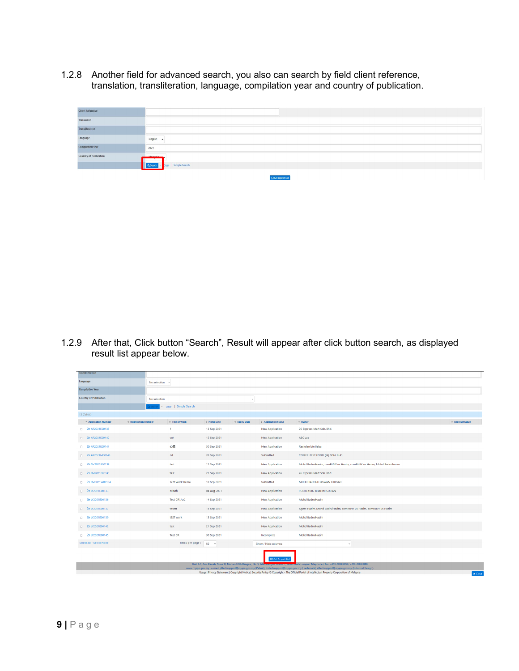1.2.8 Another field for advanced search, you also can search by field client reference, translation, transliteration, language, compilation year and country of publication.

| <b>Client Reference</b>       |                                         |
|-------------------------------|-----------------------------------------|
| Translation                   |                                         |
| Transliteration               |                                         |
| Language                      | English -                               |
| <b>Compilation Year</b>       | 2021                                    |
| <b>Country of Publication</b> | <b>Atalansis —</b>                      |
|                               | <b>Q Search</b> - Clear   Simple Search |
|                               | <b>CONTRACTOR</b>                       |

1.2.9 After that, Click button "Search", Result will appear after click button search, as displayed result list appear below.

| <b>Transliteration</b>                                                                                                                                                                                                                                                                                                         |                              |                              |                                                                         |                      |                                                     |                                                                        |                  |  |
|--------------------------------------------------------------------------------------------------------------------------------------------------------------------------------------------------------------------------------------------------------------------------------------------------------------------------------|------------------------------|------------------------------|-------------------------------------------------------------------------|----------------------|-----------------------------------------------------|------------------------------------------------------------------------|------------------|--|
| Language                                                                                                                                                                                                                                                                                                                       |                              | No selection ~               |                                                                         |                      |                                                     |                                                                        |                  |  |
| <b>Compilation Year</b>                                                                                                                                                                                                                                                                                                        |                              |                              |                                                                         |                      |                                                     |                                                                        |                  |  |
| <b>Country of Publication</b>                                                                                                                                                                                                                                                                                                  |                              | No selection<br>$\checkmark$ |                                                                         |                      |                                                     |                                                                        |                  |  |
|                                                                                                                                                                                                                                                                                                                                |                              | Clear   Simple Search        |                                                                         |                      |                                                     |                                                                        |                  |  |
| 13 CVN(s)                                                                                                                                                                                                                                                                                                                      |                              |                              |                                                                         |                      |                                                     |                                                                        |                  |  |
| - Application Number                                                                                                                                                                                                                                                                                                           | <b>C</b> Notification Number | <b>↓ Title of Work</b>       | ≑ Filing Date                                                           | <b>↓ Expiry Date</b> | <sup><math>\diamond</math></sup> Application Status | ⊕ Owner                                                                | ● Representative |  |
| □ <b>B AR2021E00135</b>                                                                                                                                                                                                                                                                                                        |                              | $\mathbf{1}$                 | 13 Sep 2021                                                             |                      | <b>New Application</b>                              | 96 Express Mart Sdn. Bhd.                                              |                  |  |
| D B AR2021E00140                                                                                                                                                                                                                                                                                                               |                              | yuh                          | 15 Sep 2021                                                             |                      | <b>New Application</b>                              | ABC yus                                                                |                  |  |
| D B AR2021E00144                                                                                                                                                                                                                                                                                                               |                              | 心爱                           | 30 Sep 2021                                                             |                      | <b>New Application</b>                              | Rashdan bin Baba                                                       |                  |  |
| □ <b>2&gt; AR2021M00143</b>                                                                                                                                                                                                                                                                                                    |                              | cd                           | 28 Sep 2021                                                             |                      | Submitted                                           | COFFEE-TEST FOOD (M) SDN. BHD.                                         |                  |  |
| □ <b>B</b> DV2021E00138                                                                                                                                                                                                                                                                                                        |                              | test                         | 15 Sep 2021                                                             |                      | <b>New Application</b>                              | Mohd BadrulHazim, comPANY us Hazim, comPANY us Hazim, Mohd Badrulhazim |                  |  |
| D B-FM2021E00141                                                                                                                                                                                                                                                                                                               |                              | test                         | 21 Sep 2021                                                             |                      | <b>New Application</b>                              | 96 Express Mart Sdn. Bhd.                                              |                  |  |
| D B FM2021W00134                                                                                                                                                                                                                                                                                                               |                              | <b>Test Work Demo</b>        | 10 Sep 2021                                                             |                      | Submitted                                           | MOHD BADRULHASWAN B BESAR                                              |                  |  |
| D B LY2021E00133                                                                                                                                                                                                                                                                                                               |                              | Minah                        | 04 Aug 2021                                                             |                      | <b>New Application</b>                              | POLITEKNIK IBRAHIM SULTAN                                              |                  |  |
| D B LY2021E00136                                                                                                                                                                                                                                                                                                               |                              | Test CR1/cr2                 | 14 Sep 2021                                                             |                      | <b>New Application</b>                              | Mohd BadrulHazim                                                       |                  |  |
| D <b>B</b> LY2021E00137                                                                                                                                                                                                                                                                                                        |                              | testttt                      | 15 Sep 2021                                                             |                      | <b>New Application</b>                              | Agent Hazim, Mohd BadrulHazim, comPANY us Hazim, comPANY us Hazim      |                  |  |
| D B LY2021E00139                                                                                                                                                                                                                                                                                                               |                              | tEST work                    | 15 Sep 2021                                                             |                      | <b>New Application</b>                              | Mohd BadrulHazim                                                       |                  |  |
| □ B-LY2021E00142                                                                                                                                                                                                                                                                                                               |                              | test                         | 21 Sep 2021                                                             |                      | <b>New Application</b>                              | Mohd BadrulHazim                                                       |                  |  |
| □ B-LY2021E00145                                                                                                                                                                                                                                                                                                               |                              | Test CR                      | 30 Sep 2021                                                             |                      | Incomplete                                          | Mohd BadrulHazim                                                       |                  |  |
| <b>Select All - Select None</b>                                                                                                                                                                                                                                                                                                |                              | Items per page:              | $50 - 4$                                                                |                      | Show / Hide columns                                 | $\vee$                                                                 |                  |  |
|                                                                                                                                                                                                                                                                                                                                |                              |                              |                                                                         |                      |                                                     |                                                                        |                  |  |
|                                                                                                                                                                                                                                                                                                                                |                              |                              | Unit 1-7, Aras Bawah, Tower B, Menara UOA Bangsar, No. 5, Jalan Dangsar |                      | Get Report List                                     | Roala Lumpur. Telephone / Fax: +603-2299 8400 / +603-2299 8989         |                  |  |
| www.myipo.gov.my . e-mail: pttechsupport@myipo.gov.my (Patent), tmtechsupport@myipo.gov.my (Trademark), idtechsupport@myipo.gov.my (Industrial Design).<br>Usage   Privacy Statement   Copyright Notice   Security Policy @ Copyright - The Official Portal of Intellectual Property Corporation of Malaysia<br><b>x</b> Close |                              |                              |                                                                         |                      |                                                     |                                                                        |                  |  |
|                                                                                                                                                                                                                                                                                                                                |                              |                              |                                                                         |                      |                                                     |                                                                        |                  |  |